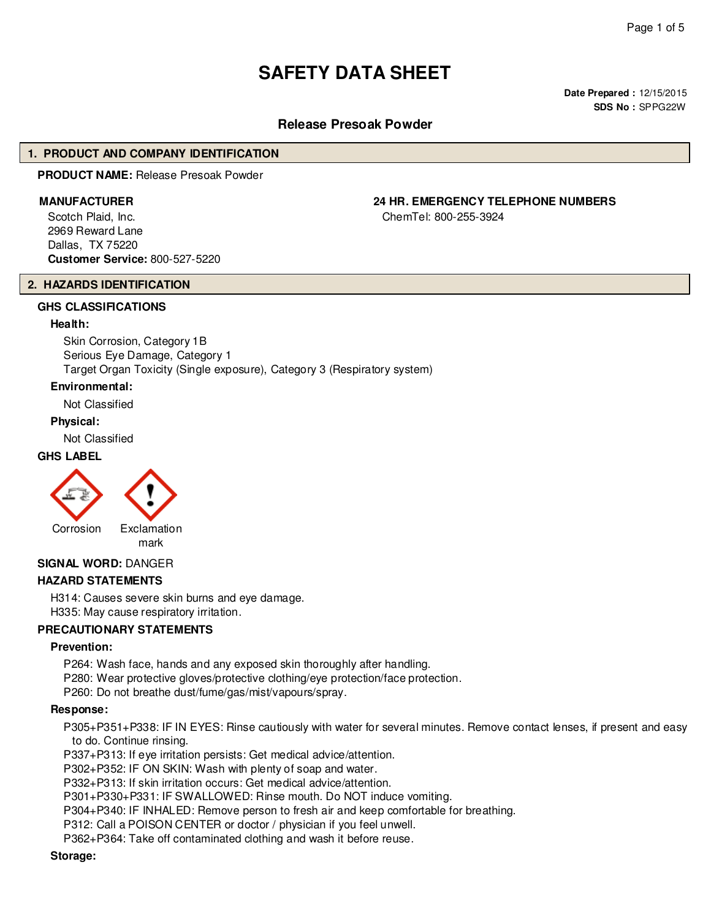# **SAFETY DATA SHEET**

**Date Prepared :** 12/15/2015 **SDS No :** SPPG22W

# **Release Presoak Powder**

# **1. PRODUCT AND COMPANY IDENTIFICATION**

**PRODUCT NAME:** Release Presoak Powder

Scotch Plaid, Inc. 2969 Reward Lane Dallas, TX 75220 **Customer Service:** 800-527-5220

# **2. HAZARDS IDENTIFICATION**

# **GHS CLASSIFICATIONS**

#### **Health:**

Skin Corrosion, Category 1B Serious Eye Damage, Category 1 Target Organ Toxicity (Single exposure), Category 3 (Respiratory system)

#### **Environmental:**

Not Classified

#### **Physical:**

Not Classified

# **GHS LABEL**



mark

# **SIGNAL WORD:** DANGER

# **HAZARD STATEMENTS**

H314: Causes severe skin burns and eye damage. H335: May cause respiratory irritation.

#### **PRECAUTIONARY STATEMENTS**

#### **Prevention:**

P264: Wash face, hands and any exposed skin thoroughly after handling. P280: Wear protective gloves/protective clothing/eye protection/face protection.

P260: Do not breathe dust/fume/gas/mist/vapours/spray.

#### **Response:**

P305+P351+P338: IF IN EYES: Rinse cautiously with water for several minutes. Remove contact lenses, if present and easy to do. Continue rinsing.

P337+P313: If eye irritation persists: Get medical advice/attention.

P302+P352: IF ON SKIN: Wash with plenty of soap and water.

P332+P313: If skin irritation occurs: Get medical advice/attention.

P301+P330+P331: IF SWALLOWED: Rinse mouth. Do NOT induce vomiting.

P304+P340: IF INHALED: Remove person to fresh air and keep comfortable for breathing.

P312: Call a POISON CENTER or doctor / physician if you feel unwell.

P362+P364: Take off contaminated clothing and wash it before reuse.

#### **Storage:**

**MANUFACTURER 24 HR. EMERGENCY TELEPHONE NUMBERS**

ChemTel: 800-255-3924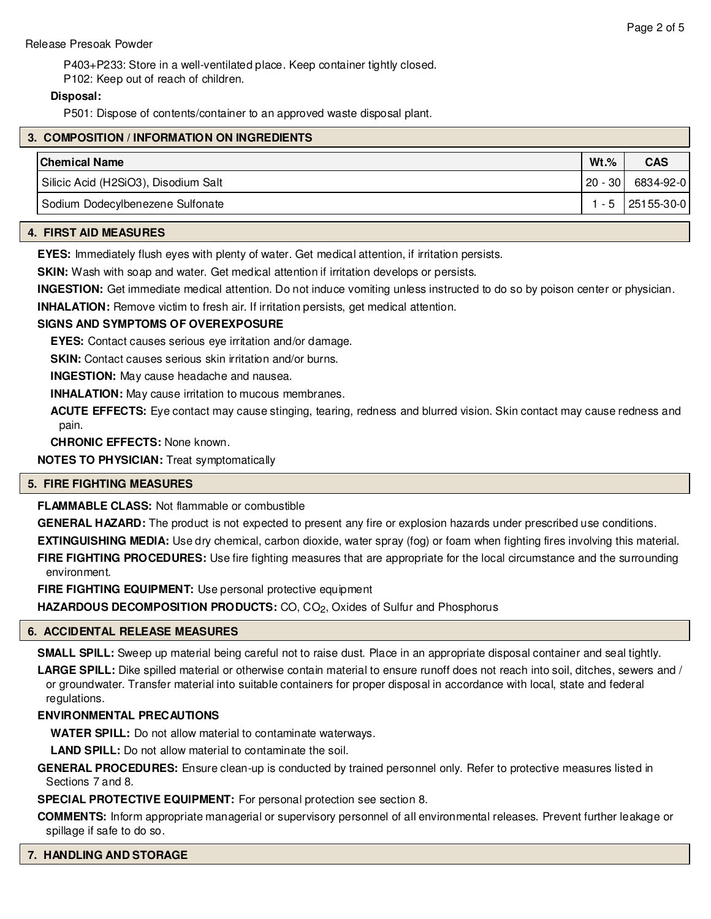P403+P233: Store in a well-ventilated place. Keep container tightly closed. P102: Keep out of reach of children.

# **Disposal:**

P501: Dispose of contents/container to an approved waste disposal plant.

| 3. COMPOSITION / INFORMATION ON INGREDIENTS |           |                  |  |
|---------------------------------------------|-----------|------------------|--|
| <b>Chemical Name</b>                        | $Wt.$ %   | <b>CAS</b>       |  |
| Silicic Acid (H2SiO3), Disodium Salt        | $20 - 30$ | 6834-92-0        |  |
| Sodium Dodecylbenezene Sulfonate            |           | 1 - 5 25155-30-0 |  |

# **4. FIRST AID MEASURES**

**EYES:** Immediately flush eyes with plenty of water. Get medical attention, if irritation persists.

**SKIN:** Wash with soap and water. Get medical attention if irritation develops or persists.

**INGESTION:** Get immediate medical attention. Do not induce vomiting unless instructed to do so by poison center or physician.

**INHALATION:** Remove victim to fresh air. If irritation persists, get medical attention.

# **SIGNS AND SYMPTOMS OF OVEREXPOSURE**

**EYES:** Contact causes serious eye irritation and/or damage.

**SKIN:** Contact causes serious skin irritation and/or burns.

**INGESTION:** May cause headache and nausea.

**INHALATION:** May cause irritation to mucous membranes.

**ACUTE EFFECTS:** Eye contact may cause stinging, tearing, redness and blurred vision. Skin contact may cause redness and pain.

**CHRONIC EFFECTS:** None known.

**NOTES TO PHYSICIAN:** Treat symptomatically

# **5. FIRE FIGHTING MEASURES**

**FLAMMABLE CLASS:** Not flammable or combustible

**GENERAL HAZARD:** The product is not expected to present any fire or explosion hazards under prescribed use conditions.

**EXTINGUISHING MEDIA:** Use dry chemical, carbon dioxide, water spray (fog) or foam when fighting fires involving this material. **FIRE FIGHTING PROCEDURES:** Use fire fighting measures that are appropriate for the local circumstance and the surrounding environment.

**FIRE FIGHTING EQUIPMENT:** Use personal protective equipment

HAZARDOUS DECOMPOSITION PRODUCTS: CO, CO<sub>2</sub>, Oxides of Sulfur and Phosphorus

# **6. ACCIDENTAL RELEASE MEASURES**

**SMALL SPILL:** Sweep up material being careful not to raise dust. Place in an appropriate disposal container and seal tightly.

**LARGE SPILL:** Dike spilled material or otherwise contain material to ensure runoff does not reach into soil, ditches, sewers and / or groundwater. Transfer material into suitable containers for proper disposal in accordance with local, state and federal regulations.

# **ENVIRONMENTAL PRECAUTIONS**

**WATER SPILL:** Do not allow material to contaminate waterways.

**LAND SPILL:** Do not allow material to contaminate the soil.

**GENERAL PROCEDURES:** Ensure clean-up is conducted by trained personnel only. Refer to protective measures listed in Sections 7 and 8.

**SPECIAL PROTECTIVE EQUIPMENT:** For personal protection see section 8.

**COMMENTS:** Inform appropriate managerial or supervisory personnel of all environmental releases. Prevent further leakage or spillage if safe to do so.

# **7. HANDLING AND STORAGE**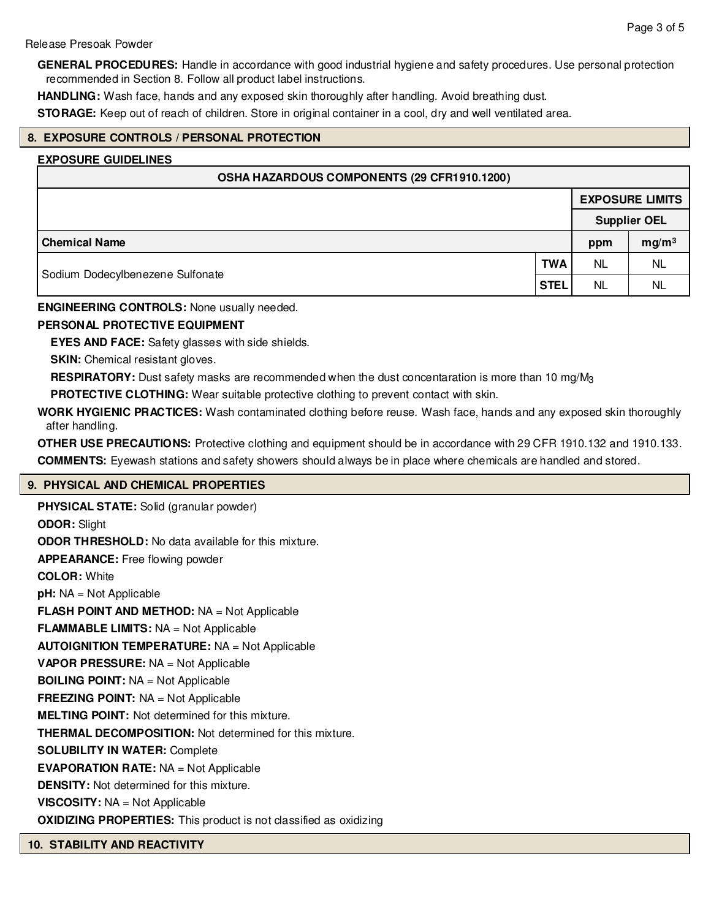#### Release Presoak Powder

**GENERAL PROCEDURES:** Handle in accordance with good industrial hygiene and safety procedures. Use personal protection recommended in Section 8. Follow all product label instructions.

**HANDLING:** Wash face, hands and any exposed skin thoroughly after handling. Avoid breathing dust.

**STORAGE:** Keep out of reach of children. Store in original container in a cool, dry and well ventilated area.

# **8. EXPOSURE CONTROLS / PERSONAL PROTECTION**

#### **EXPOSURE GUIDELINES**

| OSHA HAZARDOUS COMPONENTS (29 CFR1910.1200) |            |                        |                   |  |
|---------------------------------------------|------------|------------------------|-------------------|--|
|                                             |            | <b>EXPOSURE LIMITS</b> |                   |  |
|                                             |            | <b>Supplier OEL</b>    |                   |  |
| <b>Chemical Name</b>                        |            | ppm                    | mg/m <sup>3</sup> |  |
|                                             | <b>TWA</b> | NL                     | NL                |  |
| Sodium Dodecylbenezene Sulfonate            |            | NL                     | <b>NL</b>         |  |

**ENGINEERING CONTROLS:** None usually needed.

# **PERSONAL PROTECTIVE EQUIPMENT**

**EYES AND FACE:** Safety glasses with side shields.

**SKIN:** Chemical resistant gloves.

**RESPIRATORY:** Dust safety masks are recommended when the dust concentaration is more than 10 mg/M3

**PROTECTIVE CLOTHING:** Wear suitable protective clothing to prevent contact with skin.

**WORK HYGIENIC PRACTICES:** Wash contaminated clothing before reuse. Wash face, hands and any exposed skin thoroughly after handling.

**OTHER USE PRECAUTIONS:** Protective clothing and equipment should be in accordance with 29 CFR 1910.132 and 1910.133. **COMMENTS:** Eyewash stations and safety showers should always be in place where chemicals are handled and stored.

# **9. PHYSICAL AND CHEMICAL PROPERTIES**

**PHYSICAL STATE:** Solid (granular powder) **ODOR:** Slight **ODOR THRESHOLD:** No data available for this mixture. **APPEARANCE:** Free flowing powder **COLOR:** White **pH:** NA = Not Applicable **FLASH POINT AND METHOD:** NA = Not Applicable **FLAMMABLE LIMITS:** NA = Not Applicable **AUTOIGNITION TEMPERATURE:** NA = Not Applicable **VAPOR PRESSURE:** NA = Not Applicable **BOILING POINT:** NA = Not Applicable **FREEZING POINT:** NA = Not Applicable **MELTING POINT:** Not determined for this mixture. **THERMAL DECOMPOSITION:** Not determined for this mixture. **SOLUBILITY IN WATER:** Complete **EVAPORATION RATE:** NA = Not Applicable **DENSITY:** Not determined for this mixture. **VISCOSITY:** NA = Not Applicable **OXIDIZING PROPERTIES:** This product is not classified as oxidizing

**10. STABILITY AND REACTIVITY**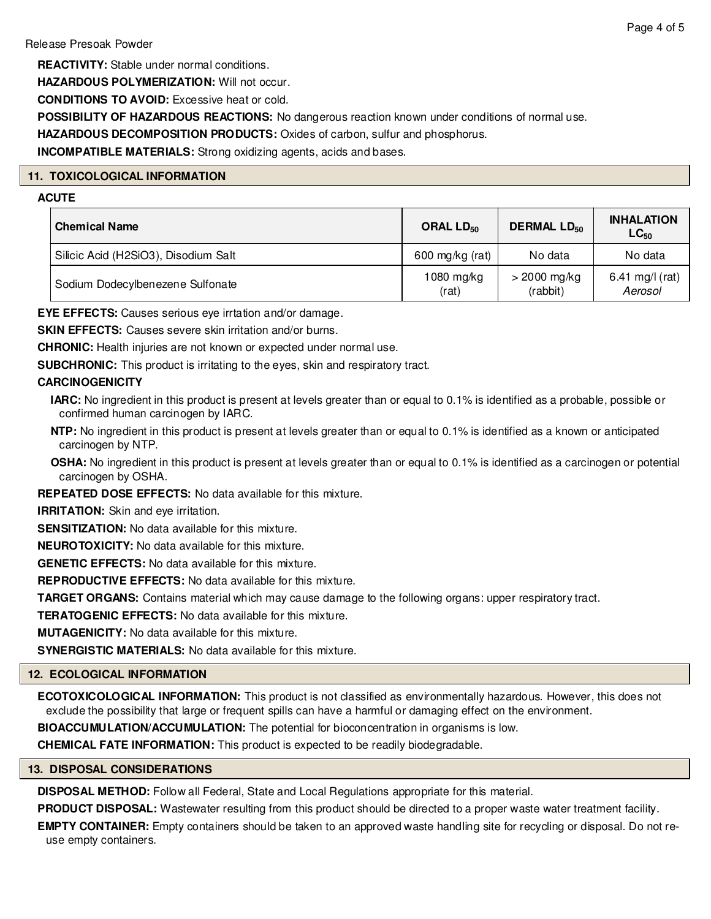**REACTIVITY:** Stable under normal conditions.

**HAZARDOUS POLYMERIZATION:** Will not occur.

**CONDITIONS TO AVOID:** Excessive heat or cold.

**POSSIBILITY OF HAZARDOUS REACTIONS:** No dangerous reaction known under conditions of normal use.

**HAZARDOUS DECOMPOSITION PRODUCTS:** Oxides of carbon, sulfur and phosphorus.

**INCOMPATIBLE MATERIALS:** Strong oxidizing agents, acids and bases.

# **11. TOXICOLOGICAL INFORMATION**

# **ACUTE**

| <b>Chemical Name</b>                 | ORAL $LD_{50}$      | DERMAL LD <sub>50</sub>    | <b>INHALATION</b><br>$LC_{50}$ |
|--------------------------------------|---------------------|----------------------------|--------------------------------|
| Silicic Acid (H2SiO3), Disodium Salt | 600 mg/kg (rat)     | No data                    | No data                        |
| Sodium Dodecylbenezene Sulfonate     | 1080 mg/kg<br>(rat) | $>$ 2000 mg/kg<br>(rabbit) | 6.41 mg/l (rat)<br>Aerosol     |

**EYE EFFECTS:** Causes serious eye irrtation and/or damage.

**SKIN EFFECTS:** Causes severe skin irritation and/or burns.

**CHRONIC:** Health injuries are not known or expected under normal use.

**SUBCHRONIC:** This product is irritating to the eyes, skin and respiratory tract.

# **CARCINOGENICITY**

**IARC:** No ingredient in this product is present at levels greater than or equal to 0.1% is identified as a probable, possible or confirmed human carcinogen by IARC.

**NTP:** No ingredient in this product is present at levels greater than or equal to 0.1% is identified as a known or anticipated carcinogen by NTP.

**OSHA:** No ingredient in this product is present at levels greater than or equal to 0.1% is identified as a carcinogen or potential carcinogen by OSHA.

**REPEATED DOSE EFFECTS:** No data available for this mixture.

**IRRITATION:** Skin and eye irritation.

**SENSITIZATION:** No data available for this mixture.

**NEUROTOXICITY:** No data available for this mixture.

**GENETIC EFFECTS:** No data available for this mixture.

**REPRODUCTIVE EFFECTS:** No data available for this mixture.

**TARGET ORGANS:** Contains material which may cause damage to the following organs: upper respiratory tract.

**TERATOGENIC EFFECTS:** No data available for this mixture.

**MUTAGENICITY:** No data available for this mixture.

**SYNERGISTIC MATERIALS:** No data available for this mixture.

# **12. ECOLOGICAL INFORMATION**

**ECOTOXICOLOGICAL INFORMATION:** This product is not classified as environmentally hazardous. However, this does not exclude the possibility that large or frequent spills can have a harmful or damaging effect on the environment.

**BIOACCUMULATION/ACCUMULATION:** The potential for bioconcentration in organisms is low.

**CHEMICAL FATE INFORMATION:** This product is expected to be readily biodegradable.

# **13. DISPOSAL CONSIDERATIONS**

**DISPOSAL METHOD:** Follow all Federal, State and Local Regulations appropriate for this material.

**PRODUCT DISPOSAL:** Wastewater resulting from this product should be directed to a proper waste water treatment facility.

**EMPTY CONTAINER:** Empty containers should be taken to an approved waste handling site for recycling or disposal. Do not reuse empty containers.